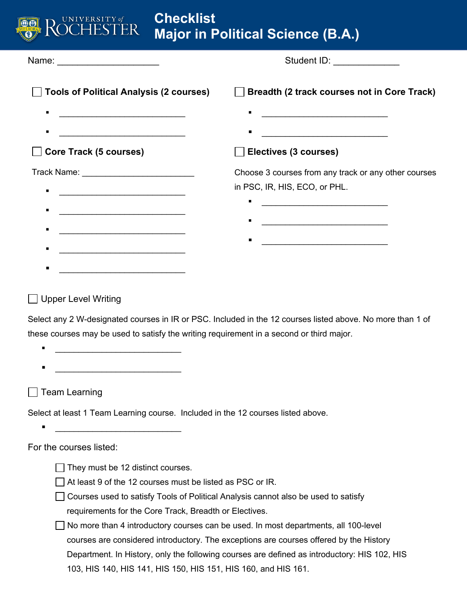| <b>Checklist</b><br>UNIVERSITY of<br><b>Major in Political Science (B.A.)</b>                                        |                                                                                                            |
|----------------------------------------------------------------------------------------------------------------------|------------------------------------------------------------------------------------------------------------|
| Name: _________________________                                                                                      | Student ID: ______________                                                                                 |
| <b>Tools of Political Analysis (2 courses)</b>                                                                       | Breadth (2 track courses not in Core Track)                                                                |
| <u> 1989 - Johann Barbara, martxa alemaniar a</u>                                                                    | <u> 1980 - Johann Barbara, martxa alemaniar a</u>                                                          |
| <u> 1989 - Johann Barbara, martxa alemaniar a</u>                                                                    |                                                                                                            |
| <b>Core Track (5 courses)</b>                                                                                        | Electives (3 courses)                                                                                      |
| Track Name: Van American American State Communications                                                               | Choose 3 courses from any track or any other courses                                                       |
| <u> 1989 - Johann Barn, mars ar breithinn ar breithinn ar breithinn ar breithinn ar breithinn ar breithinn ar br</u> | in PSC, IR, HIS, ECO, or PHL.                                                                              |
| <u> 1989 - Johann Barn, mars ar breithinn ar breithinn ar breithinn ar breithinn ar breithinn ar breithinn ar br</u> |                                                                                                            |
|                                                                                                                      |                                                                                                            |
|                                                                                                                      | <u> 1989 - Johann Barbara, martxa amerikan personal (</u>                                                  |
|                                                                                                                      |                                                                                                            |
| <u> 1980 - Johann Barbara, martxa al</u>                                                                             |                                                                                                            |
| <b>Upper Level Writing</b>                                                                                           |                                                                                                            |
|                                                                                                                      | Select any 2 W-designated courses in IR or PSC. Included in the 12 courses listed above. No more than 1 of |
| these courses may be used to satisfy the writing requirement in a second or third major.                             |                                                                                                            |
|                                                                                                                      |                                                                                                            |
|                                                                                                                      |                                                                                                            |
|                                                                                                                      |                                                                                                            |
| <b>Team Learning</b>                                                                                                 |                                                                                                            |
| Select at least 1 Team Learning course. Included in the 12 courses listed above.                                     |                                                                                                            |
|                                                                                                                      |                                                                                                            |

For the courses listed:

- $\Box$  They must be 12 distinct courses.
- At least 9 of the 12 courses must be listed as PSC or IR.
- Courses used to satisfy Tools of Political Analysis cannot also be used to satisfy requirements for the Core Track, Breadth or Electives.
- □ No more than 4 introductory courses can be used. In most departments, all 100-level courses are considered introductory. The exceptions are courses offered by the History Department. In History, only the following courses are defined as introductory: HIS 102, HIS 103, HIS 140, HIS 141, HIS 150, HIS 151, HIS 160, and HIS 161.